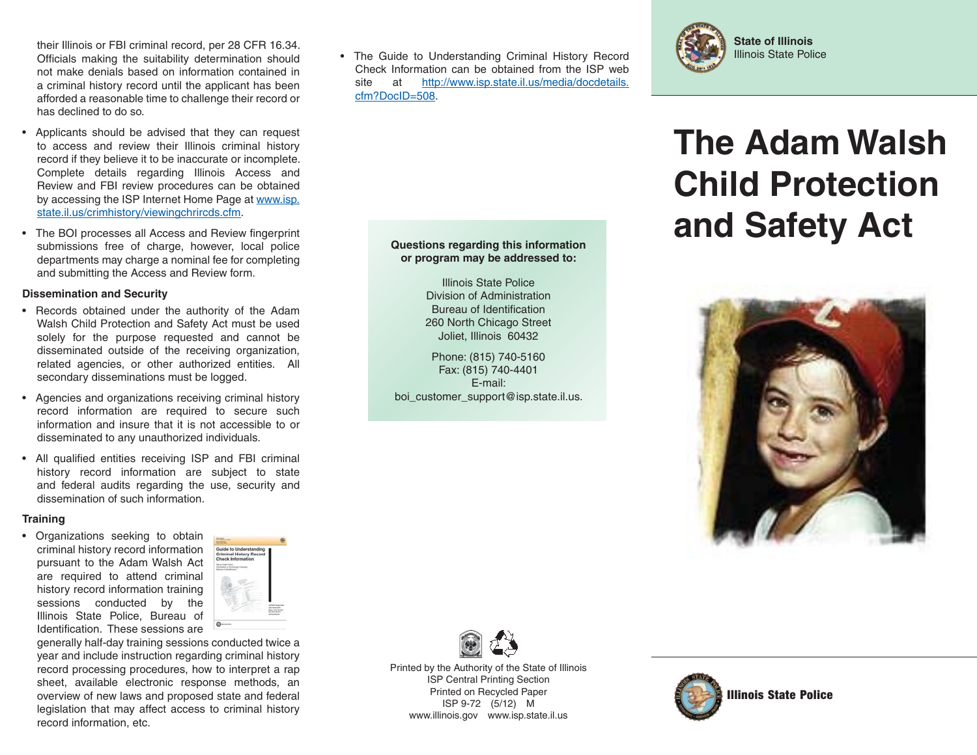their Illinois or FBI criminal record, per 28 CFR 16.34. Officials making the suitability determination should not make denials based on information contained in a criminal history record until the applicant has been afforded a reasonable time to challenge their record or has declined to do so.

- Applicants should be advised that they can request to access and review their Illinois criminal history record if they believe it to be inaccurate or incomplete. Complete details regarding Illinois Access and Review and FBI review procedures can be obtained by accessing the ISP Internet Home Page at www.isp. state.il.us/crimhistory/viewingchrircds.cfm.
- The BOI processes all Access and Review fingerprint submissions free of charge, however, local police departments may charge a nominal fee for completing and submitting the Access and Review form.

## **Dissemination and Security**

- Records obtained under the authority of the Adam Walsh Child Protection and Safety Act must be used solely for the purpose requested and cannot be disseminated outside of the receiving organization, related agencies, or other authorized entities. All secondary disseminations must be logged.
- Agencies and organizations receiving criminal history record information are required to secure such information and insure that it is not accessible to or disseminated to any unauthorized individuals.
- All qualified entities receiving ISP and FBI criminal history record information are subject to state and federal audits regarding the use, security and dissemination of such information.

## **Training**

• Organizations seeking to obtain criminal history record information pursuant to the Adam Walsh Act are required to attend criminal history record information training sessions conducted by the Illinois State Police, Bureau of Identification. These sessions are



generally half-day training sessions conducted twice a year and include instruction regarding criminal history record processing procedures, how to interpret a rap sheet, available electronic response methods, an overview of new laws and proposed state and federal legislation that may affect access to criminal history record information, etc.

• The Guide to Understanding Criminal History Record Check Information can be obtained from the ISP web site at http://www.isp.state.il.us/media/docdetails. cfm?DocID=508. $\overline{\mathcal{M}}$  , this information  $\overline{\mathcal{M}}$  is information  $\overline{\mathcal{M}}$  , this information  $\overline{\mathcal{M}}$ 

> **Questions regarding this information or program may be addressed to:** Illinois State PoliceDivision of AdministrationBureau of Identification 260 North Chicago Street Joliet, Illinois 60432 Phone: (815) 740-5160 Fax: (815) 740-4401 E-mail:boi customer support@isp.state.il.us.



# **The Adam Walsh Child Protection and Safety Act**





Printed by the Authority of the State of Illinois ISP Central Printing Section Printed on Recycled Paper ISP 9-72 (5/12) M www.illinois.gov www.isp.state.il.us